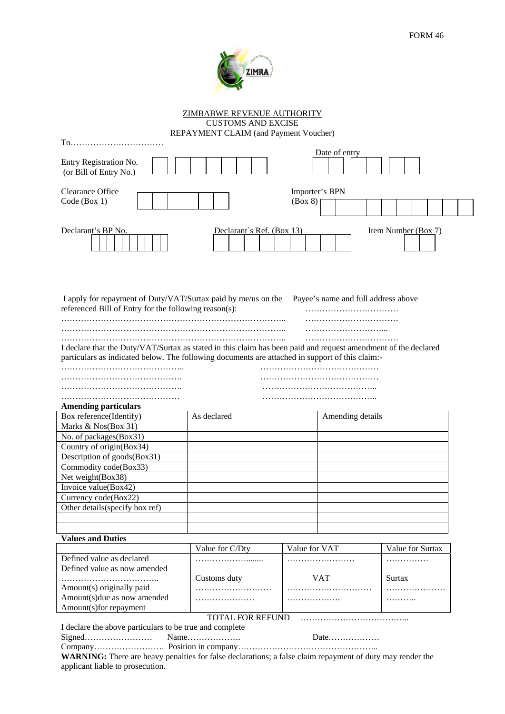

ZIMBABWE REVENUE AUTHORITY CUSTOMS AND EXCISE

REPAYMENT CLAIM (and Payment Voucher)

| To…………………………………                                                                                                                                                                                                   |                           |                                     |                     |
|-------------------------------------------------------------------------------------------------------------------------------------------------------------------------------------------------------------------|---------------------------|-------------------------------------|---------------------|
| Entry Registration No.<br>(or Bill of Entry No.)                                                                                                                                                                  |                           | Date of entry                       |                     |
| <b>Clearance Office</b><br>Code (Box 1)                                                                                                                                                                           |                           | Importer's BPN<br>(Box 8)           |                     |
| Declarant's BP No.                                                                                                                                                                                                | Declarant's Ref. (Box 13) |                                     | Item Number (Box 7) |
| I apply for repayment of Duty/VAT/Surtax paid by me/us on the<br>referenced Bill of Entry for the following reason(s):                                                                                            |                           | Payee's name and full address above |                     |
| I declare that the Duty/VAT/Surtax as stated in this claim has been paid and request amendment of the declared<br>particulars as indicated below. The following documents are attached in support of this claim:- |                           |                                     |                     |
|                                                                                                                                                                                                                   |                           |                                     |                     |
|                                                                                                                                                                                                                   |                           |                                     |                     |
|                                                                                                                                                                                                                   |                           |                                     |                     |
|                                                                                                                                                                                                                   |                           |                                     |                     |
| <b>Amending particulars</b>                                                                                                                                                                                       |                           |                                     |                     |
| Box reference(Identify)                                                                                                                                                                                           | As declared               | Amending details                    |                     |
| Marks & Nos(Box 31)                                                                                                                                                                                               |                           |                                     |                     |
| No. of packages(Box31)                                                                                                                                                                                            |                           |                                     |                     |
| Country of origin(Box34)                                                                                                                                                                                          |                           |                                     |                     |
| Description of goods(Box31)                                                                                                                                                                                       |                           |                                     |                     |
| Commodity code(Box33)                                                                                                                                                                                             |                           |                                     |                     |
| Net weight(Box38)                                                                                                                                                                                                 |                           |                                     |                     |
| Invoice value(Box42)                                                                                                                                                                                              |                           |                                     |                     |
|                                                                                                                                                                                                                   |                           |                                     |                     |
| Currency code(Box22)<br>Other details(specify box ref)                                                                                                                                                            |                           |                                     |                     |
|                                                                                                                                                                                                                   |                           |                                     |                     |
|                                                                                                                                                                                                                   |                           |                                     |                     |
|                                                                                                                                                                                                                   |                           |                                     |                     |
| <b>Values and Duties</b>                                                                                                                                                                                          |                           | Value for VAT                       | Value for Surtax    |
| Defined value as declared                                                                                                                                                                                         | Value for C/Dty           |                                     |                     |
| Defined value as now amended                                                                                                                                                                                      |                           |                                     | . <b>.</b>          |
|                                                                                                                                                                                                                   | Customs duty              | <b>VAT</b>                          | Surtax              |
| Amount(s) originally paid                                                                                                                                                                                         |                           |                                     |                     |
| Amount(s)due as now amended                                                                                                                                                                                       |                           |                                     |                     |
| Amount(s)for repayment                                                                                                                                                                                            |                           |                                     |                     |
|                                                                                                                                                                                                                   | <b>TOTAL FOR REFUND</b>   |                                     |                     |
| I declare the above particulars to be true and complete                                                                                                                                                           |                           |                                     |                     |
|                                                                                                                                                                                                                   | Name                      | Date                                |                     |
|                                                                                                                                                                                                                   |                           |                                     |                     |
| <b>WARNING:</b> There are heavy penalties for false declarations; a false claim repayment of duty may render the                                                                                                  |                           |                                     |                     |
| applicant liable to prosecution.                                                                                                                                                                                  |                           |                                     |                     |